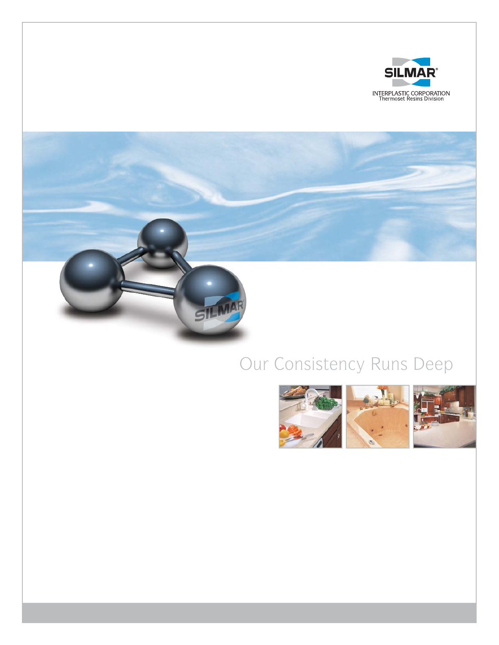

### Our Consistency Runs Deep

SILM

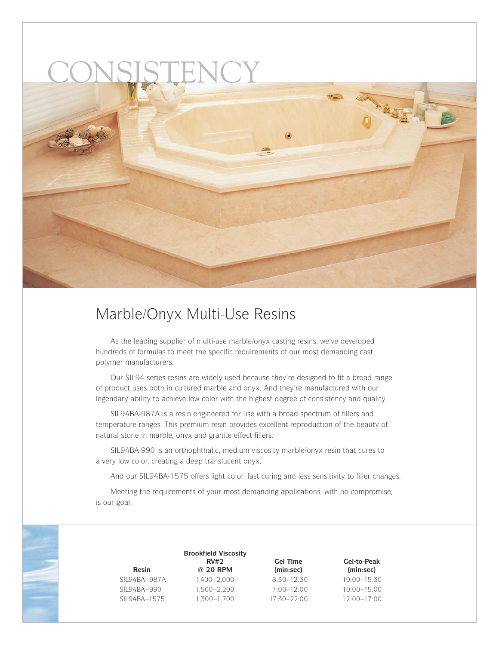## CONSISTENCY



### Marble/Onyx Multi-Use Resins

As the leading supplier of multi-use marble/onyx casting resins, we've developed hundreds of formulas to meet the specific requirements of our most demanding cast polymer manufacturers.

Our SIL94 series resins are widely used because they're designed to fit a broad range of product uses both in cultured marble and onyx. And they're manufactured with our legendary ability to achieve low color with the highest degree of consistency and quality.

SIL94BA-987A is a resin engineered for use with a broad spectrum of fillers and temperature ranges. This premium resin provides excellent reproduction of the beauty of natural stone in marble, onyx and granite effect fillers.

SIL94BA-990 is an orthophthalic, medium viscosity marble/onyx resin that cures to a very low color, creating a deep translucent onyx.

And our SIL94BA-1575 offers light color, fast curing and less sensitivity to filler changes.

Meeting the requirements of your most demanding applications, with no compromise, is our goal.

| Resin        | <b>Brookfield Viscosity</b><br>RV#2<br>@ 20 RPM | <b>Gel Time</b><br>(min:sec) | Gel-to-Peak<br>(min:sec) |
|--------------|-------------------------------------------------|------------------------------|--------------------------|
| SIL94BA-987A | 1,400–2,000                                     | $8:30-12:30$                 | $10:00 - 15:30$          |
| SIL94BA-990  | 1,500-2,200                                     | $7:00 - 12:00$               | $10:00 - 15:00$          |
| SIL94BA-1575 | 1,300-1,700                                     | $17:30 - 22:00$              | $12:00 - 17:00$          |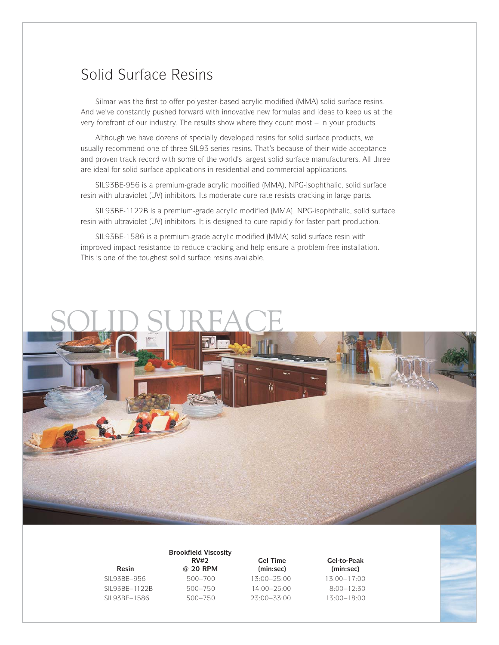#### Solid Surface Resins

SiImar was the first to offer polyester-based acrylic modified (MMA) solid surface resins. And we've constantly pushed forward with innovative new formulas and ideas to keep us at the very forefront of our industry. The results show where they count most – in your products.

Although we have dozens of specially developed resins for solid surface products, we usually recommend one of three SIL93 series resins. That's because of their wide acceptance and proven track record with some of the world's largest solid surface manufacturers. All three are ideal for solid surface applications in residential and commercial applications.

SIL93BE-956 is a premium-grade acrylic modified (MMA), NPG-isophthalic, solid surface resin with ultraviolet (UV) inhibitors. Its moderate cure rate resists cracking in large parts.

SIL93BE-1122B is a premium-grade acrylic modified (MMA), NPG-isophthalic, solid surface resin with ultraviolet (UV) inhibitors. It is designed to cure rapidly for faster part production.

SIL93BE-1586 is a premium-grade acrylic modified (MMA) solid surface resin with improved impact resistance to reduce cracking and help ensure a problem-free installation. This is one of the toughest solid surface resins available.

### SOLID SURFACE



SIL93BE–956 500–700 13:00–25:00 13:00–17:00 SIL93BE–1122B 500–750 14:00–25:00 8:00–12:30 SIL93BE–1586 500–750 23:00–33:00 13:00–18:00

**Brookfield Viscosity Resin @ 20 RPM (min:sec) (min:sec)**

**RV#2 Gel Time Gel-to-Peak**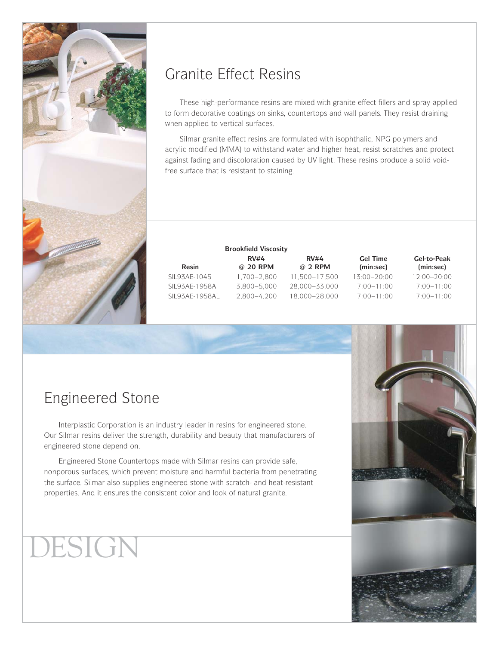

### Granite Effect Resins

These high-performance resins are mixed with granite effect fillers and spray-applied to form decorative coatings on sinks, countertops and wall panels. They resist draining when applied to vertical surfaces.

Silmar granite effect resins are formulated with isophthalic, NPG polymers and acrylic modified (MMA) to withstand water and higher heat, resist scratches and protect against fading and discoloration caused by UV light. These resins produce a solid voidfree surface that is resistant to staining.

|                 | <b>Brookfield Viscosity</b> |               |                 |                 |  |  |
|-----------------|-----------------------------|---------------|-----------------|-----------------|--|--|
|                 | RV#4                        | RV#4          | <b>Gel Time</b> | Gel-to-Peak     |  |  |
| <b>Resin</b>    | @ 20 RPM                    | @ 2 RPM       | (min:sec)       | (min:sec)       |  |  |
| SIL93AE-1045    | 1.700-2.800                 | 11.500-17.500 | $13:00 - 20:00$ | $12:00 - 20:00$ |  |  |
| SIL93AE-1958A   | 3.800-5.000                 | 28.000-33.000 | $7:00 - 11:00$  | $7:00 - 11:00$  |  |  |
| SIL93AE-1958AL. | $2.800 - 4.200$             | 18,000-28,000 | $7:00 - 11:00$  | $7:00-11:00$    |  |  |
|                 |                             |               |                 |                 |  |  |

### Engineered Stone

Interplastic Corporation is an industry leader in resins for engineered stone. Our Silmar resins deliver the strength, durability and beauty that manufacturers of engineered stone depend on.

Engineered Stone Countertops made with Silmar resins can provide safe, nonporous surfaces, which prevent moisture and harmful bacteria from penetrating the surface. Silmar also supplies engineered stone with scratch- and heat-resistant properties. And it ensures the consistent color and look of natural granite.

### DESIGN

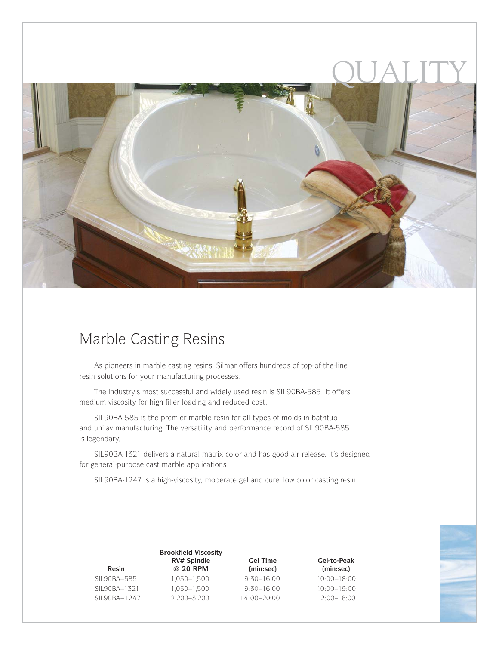

### Marble Casting Resins

As pioneers in marble casting resins, Silmar offers hundreds of top-of-the-line resin solutions for your manufacturing processes.

The industry's most successful and widely used resin is SIL90BA-585. It offers medium viscosity for high filler loading and reduced cost.

SIL90BA-585 is the premier marble resin for all types of molds in bathtub and unilav manufacturing. The versatility and performance record of SIL90BA-585 is legendary.

SIL90BA-1321 delivers a natural matrix color and has good air release. It's designed for general-purpose cast marble applications.

SIL90BA-1247 is a high-viscosity, moderate gel and cure, low color casting resin.

| Resin        |
|--------------|
| SIL90BA–585  |
| SIL90BA–1321 |
| SIL90BA-1247 |

**Brookfield Viscosity RV# Spindle Gel Time Gel-to-Peak Resin @ 20 RPM (min:sec) (min:sec)** SIL90BA–585 1,050–1,500 9:30–16:00 10:00–18:00 SIL90BA–1321 1,050–1,500 9:30–16:00 10:00–19:00 SIL90BA–1247 2,200–3,200 14:00–20:00 12:00–18:00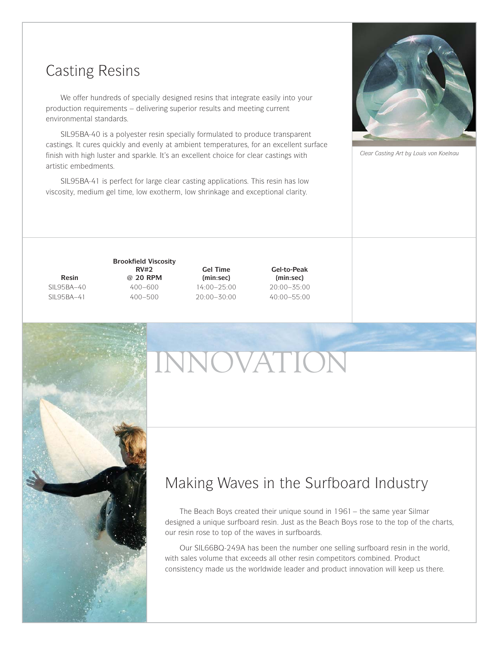### Casting Resins

We offer hundreds of specially designed resins that integrate easily into your production requirements – delivering superior results and meeting current environmental standards.

SIL95BA-40 is a polyester resin specially formulated to produce transparent castings. It cures quickly and evenly at ambient temperatures, for an excellent surface finish with high luster and sparkle. It's an excellent choice for clear castings with artistic embedments.

SIL95BA-41 is perfect for large clear casting applications. This resin has low viscosity, medium gel time, low exotherm, low shrinkage and exceptional clarity.



*Clear Casting Art by Louis von Koelnau*

**Brookfield Viscosity Resin @ 20 RPM (min:sec) (min:sec)** SIL95BA–40 400–600 14:00–25:00 20:00–35:00 SIL95BA–41 400–500 20:00–30:00 40:00–55:00

Gel Time Gel-to-Peak<br>
(min:sec) (min:sec)

# INNOVATION



The Beach Boys created their unique sound in 1961– the same year Silmar designed a unique surfboard resin. Just as the Beach Boys rose to the top of the charts, our resin rose to top of the waves in surfboards.

Our SIL66BQ-249A has been the number one selling surfboard resin in the world, with sales volume that exceeds all other resin competitors combined. Product consistency made us the worldwide leader and product innovation will keep us there.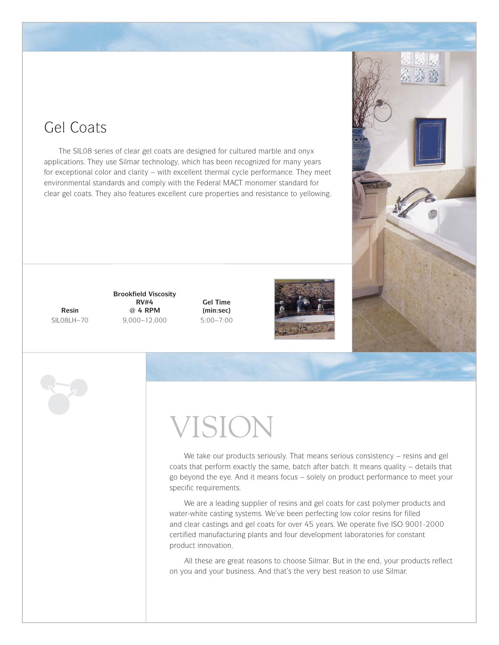### Gel Coats

The SIL08 series of clear gel coats are designed for cultured marble and onyx applications. They use Silmar technology, which has been recognized for many years for exceptional color and clarity – with excellent thermal cycle performance. They meet environmental standards and comply with the Federal MACT monomer standard for clear gel coats. They also features excellent cure properties and resistance to yellowing.

**Brookfield Viscosity RV#4** Gel Time<br>
@ 4 RPM (min:sec) **Resin @ 4 RPM (min:sec)** SIL08LH–70 9,000–12,000 5:00–7:00





We take our products seriously. That means serious consistency – resins and gel coats that perform exactly the same, batch after batch. It means quality – details that go beyond the eye. And it means focus – solely on product performance to meet your specific requirements.

We are a leading supplier of resins and gel coats for cast polymer products and water-white casting systems. We've been perfecting low color resins for filled and clear castings and gel coats for over 45 years. We operate five ISO 9001-2000 certified manufacturing plants and four development laboratories for constant product innovation.

All these are great reasons to choose Silmar. But in the end, your products reflect on you and your business. And that's the very best reason to use Silmar.